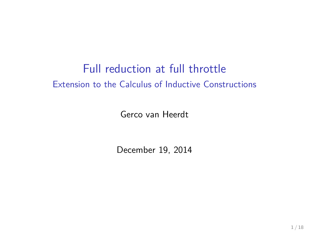#### Full reduction at full throttle Extension to the Calculus of Inductive Constructions

Gerco van Heerdt

December 19, 2014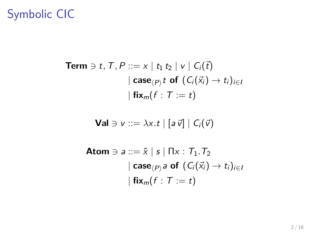# Symbolic CIC

$$
\begin{aligned}\n\textbf{Term} &\ni t, \mathcal{T}, P ::= x \mid t_1 \, t_2 \mid v \mid C_i(\vec{t}) \\
&|\; \textbf{case}_{\langle P \rangle} t \; \textbf{of} \; (C_i(\vec{x}_i) \to t_i)_{i \in I} \\
&|\; \textbf{fix}_m(f : T := t)\n\end{aligned}
$$

$$
\mathbf{Val} \ni v ::= \lambda x.t \mid [a\ \vec{v}] \mid C_i(\vec{v})
$$

$$
\begin{aligned}\n\textbf{Atom} &\ni ::= \tilde{x} \mid s \mid \Pi x : T_1 \cdot T_2 \\
&\quad \qquad [\textbf{case}_{(P)} a \textbf{ of } (C_i(\vec{x}_i) \rightarrow t_i)_{i \in I} \\
&\quad \qquad [\textbf{fix}_m(f : T := t)\n\end{aligned}
$$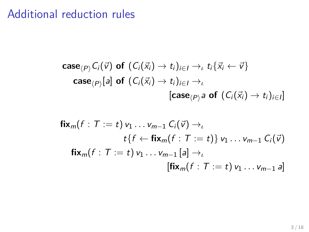### Additional reduction rules

$$
\mathsf{case}_{\langle P \rangle} C_i(\vec{v}) \text{ of } (C_i(\vec{x}_i) \to t_i)_{i \in I} \to_{\iota} t_i \{\vec{x}_i \leftarrow \vec{v}\}
$$
\n
$$
\mathsf{case}_{\langle P \rangle}[a] \text{ of } (C_i(\vec{x}_i) \to t_i)_{i \in I} \to_{\iota}
$$
\n
$$
[\mathsf{case}_{\langle P \rangle} a \text{ of } (C_i(\vec{x}_i) \to t_i)_{i \in I}]
$$

$$
\begin{aligned}\n\mathbf{fix}_{m}(f: T := t) \, v_1 \ldots v_{m-1} \, C_i(\vec{v}) &\rightarrow_l \\
& t \{f \leftarrow \mathbf{fix}_{m}(f: T := t)\} \, v_1 \ldots v_{m-1} \, C_i(\vec{v}) \\
\mathbf{fix}_{m}(f: T := t) \, v_1 \ldots v_{m-1} \, [a] \rightarrow_l \\
& [\mathbf{fix}_{m}(f: T := t) \, v_1 \ldots v_{m-1} \, a]\n\end{aligned}
$$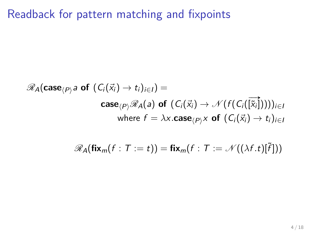Readback for pattern matching and fixpoints

$$
\mathscr{R}_{A}(\mathbf{case}_{\langle P\rangle} \mathsf{a} \mathbf{ of } (C_i(\vec{x}_i) \to t_i)_{i \in I}) =
$$
\n
$$
\mathbf{case}_{\langle P\rangle} \mathscr{R}_{A}(a) \mathbf{ of } (C_i(\vec{x}_i) \to \mathscr{N}(f(C_i(\vec{\vec{x}_i}))))_{i \in I}
$$
\n
$$
\text{where } f = \lambda \times \mathbf{case}_{\langle P\rangle} \times \mathbf{ of } (C_i(\vec{x}_i) \to t_i)_{i \in I}
$$

$$
\mathscr{R}_{A}(\mathbf{fix}_{m}(f: T:=t)) = \mathbf{fix}_{m}(f: T:=\mathscr{N}((\lambda f.t)[\tilde{f}]))
$$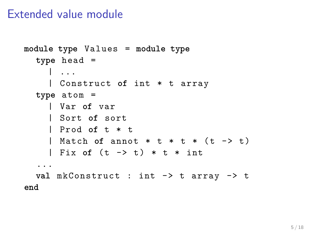#### Extended value module

```
module type Values = module type
  type head =
    | ...
    | Construct of int * t array
  type atom =
    | Var of var
    | Sort of sort
    | Prod of t * t
    | Match of annot * t * t * ( t -> t )
    | Fix of (t \rightarrow t) * t * int...
  val mkConstruct : int -> t array -> t
end
```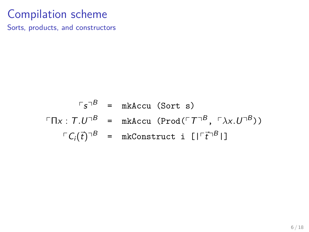Sorts, products, and constructors

$$
\begin{array}{rcl}\n\ulcorner s\urcorner^B &=& \text{mkAccu (Sort s)} \\
\ulcorner \Pi x: T.U\urcorner^B &=& \text{mkAccu (Prod}(\ulcorner T\urcorner^B, \ulcorner \lambda x.U\urcorner^B)) \\
\ulcorner C_i(\vec{t})\urcorner^B &=& \text{mkConstruct i } [\ulcorner \vec{t}\urcorner^B \urcorner]\n\end{array}
$$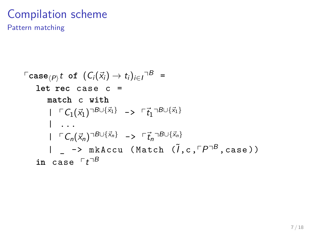Pattern matching

$$
\begin{array}{lcl}\n\text{Case}_{\langle P \rangle} t & \text{of } (C_i(\vec{x}_i) \to t_i)_{i \in I} \cap B = \\
\text{let rec case } c & = \\
\text{match } c & \text{with} \\
|\Gamma C_1(\vec{x}_1) \cap B \cup \{\vec{x}_1\} \implies \Gamma \vec{t}_1 \cap B \cup \{\vec{x}_1\} \\
& \quad | \ldots \\
|\Gamma C_n(\vec{x}_n) \cap B \cup \{\vec{x}_n\} \implies \Gamma \vec{t}_n \cap B \cup \{\vec{x}_n\} \\
& \quad | \quad - > \text{mkAccu} \quad (\text{Match } (\tilde{I}, c, \Gamma P \cap B, case)) \\
\text{in case } \Gamma t \cap B\n\end{array}
$$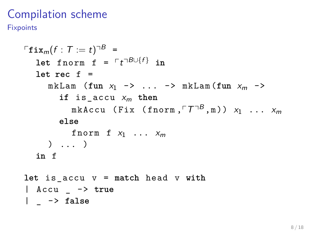**Fixpoints** 

```
\ulcorner \mathtt{fix}_{m}(f : T := t)^{\lnot B} \; =\texttt{let } \texttt{form} \texttt{ f } = \ulcorner t \urcorner^{B \cup \{f\}} \texttt{ in}let rec f =
        m \times Lam (fun x_1 \rightarrow \ldots \rightarrow m \times Lam (fun x_m \rightarrowif is accu x_m then
                mkAccu (Fix (fnorm,\ulcorner\mathcal{T}\urcorner^B,\mathbb{m})) x_1 ... x_melse
               fnorm f x_1 ... x_m) ... )
    in f
let is_accu v = match head v with
| Accu _ -> true
| _ -> false
```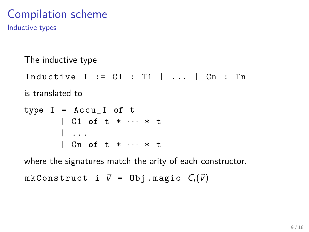Inductive types

The inductive type

Inductive  $I := C1 : T1$  | ... |  $Cn : Tn$ 

is translated to

 $type I = Accu I of t$ | C1 **of** t \* · · · \* t | ... | Cn **of** t \* · · · \* t

where the signatures match the arity of each constructor.

mkConstruct i  $\vec{v}$  = Obj.magic  $C_i(\vec{v})$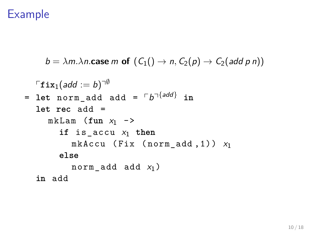$b = \lambda m \cdot \lambda n$ .case m of  $(C_1() \rightarrow n, C_2(p) \rightarrow C_2(\text{add } p \text{ } n))$ 

$$
\begin{aligned}\n\ulcorner \text{fix}_1(\text{add} := b)^{\neg \emptyset} \\
&= \text{let norm\_add} \text{ add} = \ulcorner b^{\neg \{ \text{add} \}} \text{ in} \\
 & \text{let rec add} = \\
 & \quad \text{mkLam (fun x_1 ->} \\
 & \text{if is\_accu x_1 then} \\
 & \quad \text{mkAccu (Fix (norm\_add, 1)) x_1} \\
 & \text{else} \\
 & \quad \text{norm\_add add x_1})\n \end{aligned}
$$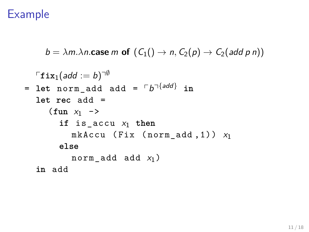$b = \lambda m \cdot \lambda n$  **case** m **of**  $(C_1) \rightarrow n$ ,  $C_2(p) \rightarrow C_2(\text{add } p \text{ } n)$ 

```
\ulcornerfix_1(\emph{add}:=b) \urcorner^\emptyset= let norm\_add add = \lceil b \rceil^{\{add\}} in
  let rec add =
      (\text{fun } x_1 ->
         if is accu x_1 then
            mkAccu (Fix (norm add ,1)) x_1else
            norm_add add x_1)
  in add
```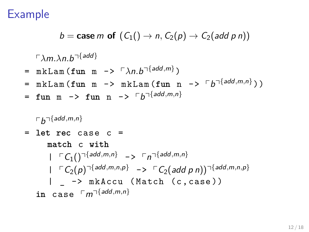$$
b = \mathbf{case} \ m \ \mathbf{of} \ (C_1() \rightarrow n, C_2(p) \rightarrow C_2(\text{add } p \ n))
$$

 $\ulcorner\lambda$ m. $\lambda$ n.b $\urcorner^{\{add\}}$ 

- $=$  mkLam(fun m ->  $\sqrt{\lambda n}$ .b $\sqrt{\lambda}$ <sup>{add,m}</sup>)
- = mkLam (fun m -> mkLam (fun n ->  $\ulcorner b\urcorner^{[add,m,n]}$ ))
- $=$  fun m  $\rightarrow$  fun n  $\rightarrow$   $\lceil b \rceil$  {add, m, n}

 $\ulcorner b\urcorner$ {add,m,n}

= **let rec** case c = **match** c **with**  $|\Gamma C_1()$ <sup>{add*,m,n*} ->  $\Gamma$ <sup>1{add*,m,n*}</sup></sup>  $|\Gamma C_2(p)^{\neg \{add, m, n, p\}} \rightarrow C_2(add \ p \ n)^{\neg \{add, m, n, p\}}$ | \_ -> mkAccu ( Match (c , case )) in case  $\ulcorner m\urcorner^{\{add,m,n\}}$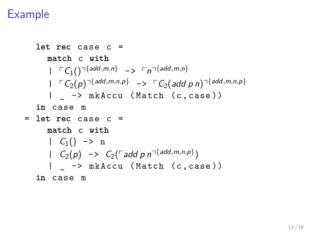let rec case 
$$
c =
$$

\nmatch c with

\n
$$
| \Gamma C_1() \gamma \{add, m, n\} \implies \Gamma n \gamma \{add, m, n\}
$$
\n
$$
| \Gamma C_2(p) \gamma \{add, m, n, p\} \implies \Gamma C_2(\text{add } p \text{ n}) \gamma \{add, m, n, p\}
$$
\n
$$
| \quad - > \text{mkAccu} \text{ (Match } (c, \text{case }))
$$
\nin case m

\nLet rec case  $c =$ 

\nmatch c with

\n
$$
| \quad C_1() \quad \text{> n}
$$
\n
$$
| \quad C_2(p) \quad \text{> } C_2(\Gamma \text{add } p \text{ n} \gamma \{add, m, n, p\})
$$
\n
$$
| \quad - > \text{mkAccu} \text{ (Match } (c, \text{case }))
$$
\nin case m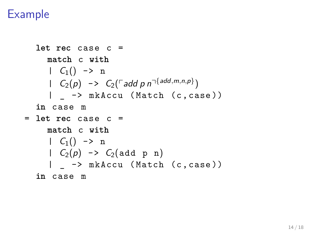```
let rec case c =
      match c with
      | C_1() \rightarrow n\left[ C_2(p) \rightarrow C_2(\text{radd } p \text{ n}^{-\{add, m, n, p\}}) \right]| _ -> mkAccu ( Match (c , case ))
   in case m
= let rec case c =
      match c with
       | C_1() \rightarrow n| C_2(p) \rightarrow C_2(\text{add } p \text{ n})| -> mkAccu (Match (c, case))
   in case m
```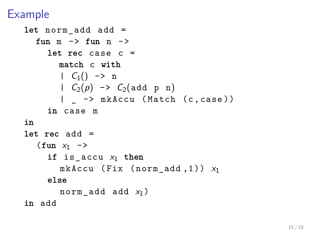```
let norm_add add =
  fun m -> fun n ->
     let rec case c =
        match c with
        | C_1() \rightarrow n| C_2(p) \rightarrow C_2(\text{add } p \text{ n})| _ -> mkAccu ( Match (c , case ))
     in case m
in
let rec add =
   (\text{fun } x_1 \rightarrowif is_accu x1 then
        mkAccu (Fix (norm add,1)) x_1else
        norm add add x_1 )
in add
```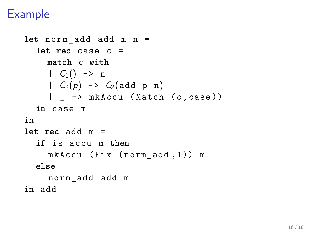```
let norm_add add m n =
  let rec case c =
     match c with
     | C_1() \rightarrow n| C_2(p) \rightarrow C_2(\text{add } p \text{ n})| _ -> mkAccu ( Match (c , case ))
  in case m
in
let rec add m =
  if is_accu m then
     mkAccu (Fix (norm_add,1)) m
  else
     norm_add add m
in add
```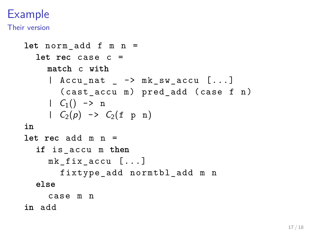Their version

```
let norm_add f m n =
  let rec case c =
    match c with
     | Accu_nat _ -> mk_sw_accu [...]
       (cast accu m) pred add (case f n)| C_1() \rightarrow n| C_2(p) \rightarrow C_2(f \text{ p } n)in
let rec add m n =
  if is_accu m then
    mk fix accu [...]
       fixtype add normtbl add m n
  else
    case m n
in add
```